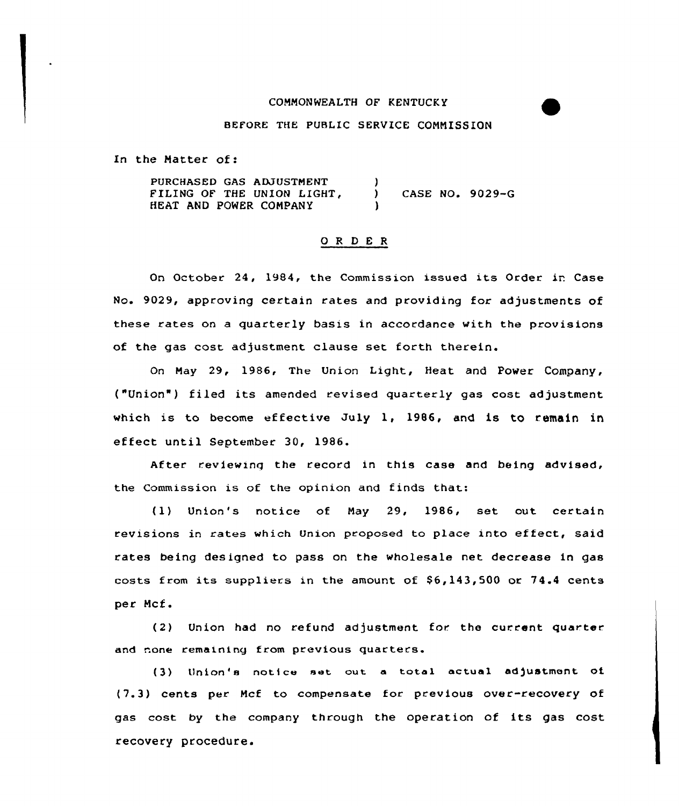# COMMONWEALTH OF KENTUCKY

## BEFORE THE PUBLIC SERVICE CONNISSION

In the Matter of:

PURCHASED GAS ADJUSTMENT FILING OF THE UNION LIGHT, HEAT AND POWER COMPANY  $\lambda$ ) CASE NO. 9029-G )

# 0 <sup>R</sup> <sup>D</sup> E <sup>R</sup>

On October 24, 1984, the Commission issued its Order ir Case No. 9029, approving certain rates and providing for adjustments of these rates on a quarterly basis in accordance with the provisions of the gas cost adjustment clause set forth therein.

On May 29, 1986, The Union Light, Heat and Power Company, ("Union") filed its amended revised quarterly gas cost adjustment which is to become effective July 1, 1986, and is to remain in effect until September 30, 1986.

After reviewing the record in this case and being advised, the Commission is of the opinion and finds that:

(1) Union's notice of May 29, 1986, set out certain revisions in rates which Union proposed to place into effect, said rates being designed to pass on the wholesale net decrease in gas costs from its suppliers in the amount of  $$6,143,500$  or  $74.4$  cents per Mcf.

(2) Union had no refund adjustment for. the current quarter and none remaining from previous quarters.

(3) Union's not1ce set cut <sup>a</sup> total actual adjustment ot (7.3) cents per Mcf to compensate for previous over-recovery of gas cost by the company through the operation of its gas cost recovery procedure.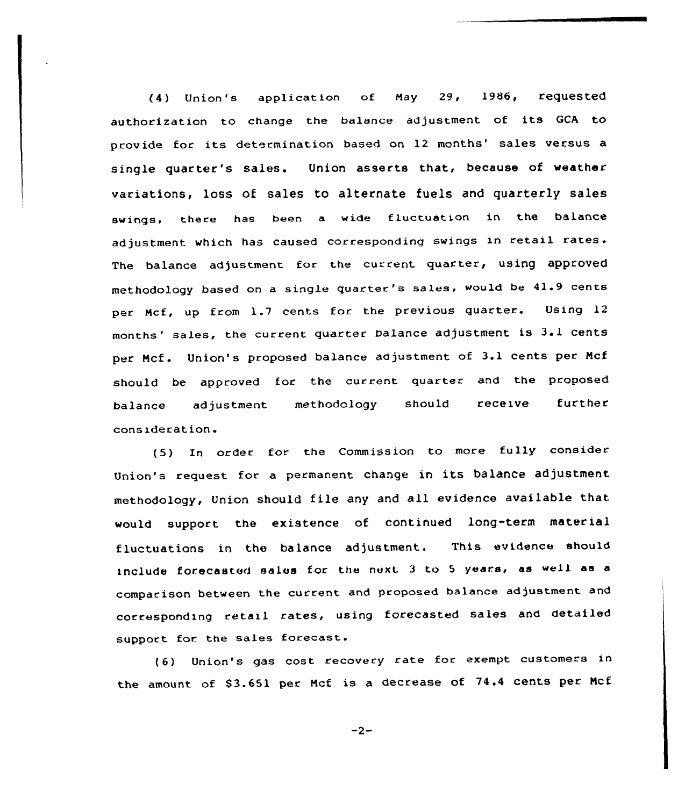(4) Union's applicaticn of May 29, 1986, requested authorization to change the balance adjustment of its GCA to provide for its determination based on 12 months' sales versus a single quarter's sales. Union asserts that, because of weather variations, loss of sales to alternate fuels and quarterly sales swings. there has been a wide fluctuation in the balance adjustment which has caused corresponding swings in retail rates. The balance adjustment for the current quarter, using approved methodology based on a single quarter's sales, would be 41.9 cents per Mcf, up from 1.7 cents for the previous quarter. Using 12 months'ales, the current quarter balance adjustment is 3il cents per Ncf. Union's proposed balance adjustment of 3.1 cents per Ncf should be approved for the current quarter and the proposed balance adjustment methodology should receive further consideration.

(5) In order for the Commission to more fully consider Union's request for <sup>a</sup> permanent change in its balance adjustment methodology, Union should file any and all evidence available that would support the existence of continued long-term material fluctuations in the balance adjustment. This evidence should include forecasted sales for the next <sup>3</sup> to <sup>5</sup> years, as well as <sup>a</sup> comparison between the current and proposed balance adjustment and corresponding retail rates, using forecasted sales and detailed support for. the sales forecast.

(6) Union's gas cost recovery rate for exempt customers in the amount of \$3.651 per Mcf is a decrease of 74.4 cents per Mcf

 $-2-$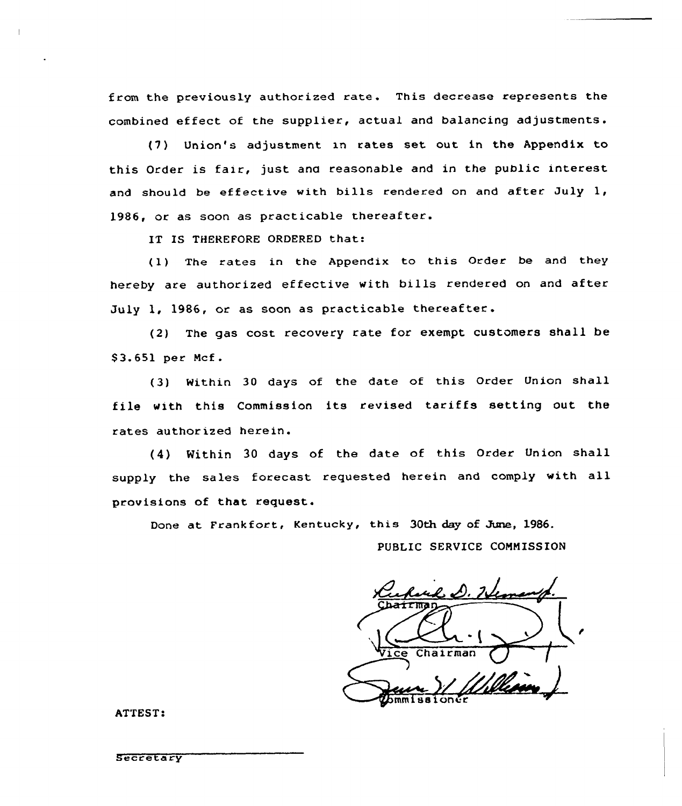from the previously authorized rate. This decrease represents the combined effect of the supplier, actual and balancing adjustments.

(7) Union's adjustment xn rates set out in the Appendix to this Order is fair, just and reasonable and in the public interest and should be effective with bills rendered on and after July  $l_t$ , 1986, or as soon as practicable thereafter.

IT IS THEREFORE ORDERED that:

(1) The rates in the Appendix to this Order be and they hereby are authorized effective with bills rendered on and after July 1, 1986, or as soon as practicable thereafter.

(2) The gas cost recovery rate for exempt customers shall be \$3.651 per Mcf.

(3) Within 30 days of the date of this Order Union shall file with this Commission its revised tariffs setting out the rates author ized herein.

(4) Within <sup>30</sup> days of the date of this Order Union shall supply the sales forecast requested herein and comply with all provisions of that request.

Done at Frankfort, Kentucky, this 30th day of June, 1986.

PUBLIC SERVICE COMMISSION

Chairman issione

ATTEST:

**Secretary**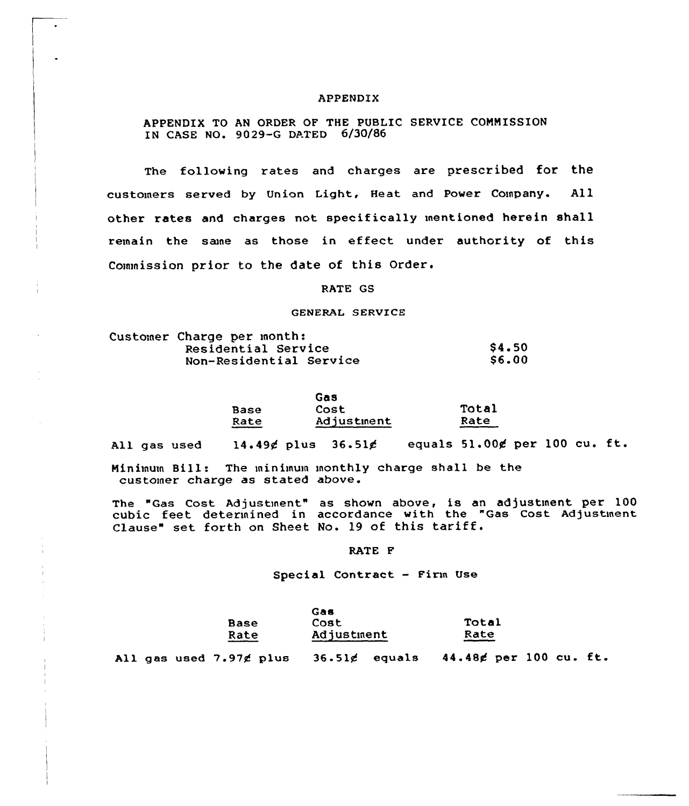## APPENDIX

APPENDIX TO AN ORDER OF THE PUBLIC SERVICE COMMISSION IN CASE NO. 9029-G DATED 6/30/86

The following rates and charges are prescribed for the customers served by Union Light, Heat and Power Company. All other rates and charges not specifically mentioned herein shall remain the same as those in effect under authority of this Commission prior to the date of this Order.

## RATE GS

#### GENERAL SERVICE

|  | Customer Charge per month: |              |  |  |
|--|----------------------------|--------------|--|--|
|  | Residential Service        | \$4.50       |  |  |
|  | Non-Residential Service    | <b>S6.00</b> |  |  |

|      | Gas        |       |  |  |
|------|------------|-------|--|--|
| Base | Cost       | Total |  |  |
| Rate | Adjustment | Rate  |  |  |

All gas used  $14.49\neq$  plus  $36.51\neq$  equals  $51.00\neq$  per 100 cu. ft.

Minimum Bill: The minimum monthly charge shall be the customer charge as stated above.

The "Gas cost Adjustinent" as shown above, is an adjustment per 100 cubic feet determined in accordance with the "Gas Cost Adjustment Clause" set forth on Sheet No. <sup>19</sup> of this tariff.

## RATE F

Special Contract — Firm Use

|             | Gas        |       |
|-------------|------------|-------|
| <b>Base</b> | Cost       | Total |
| Rate        | Adjustment | Rate  |

All gas used  $7.97$  $\not\le$  plus  $36.51\not\le$  equals  $44.48\not\le$  per 100 cu. ft.